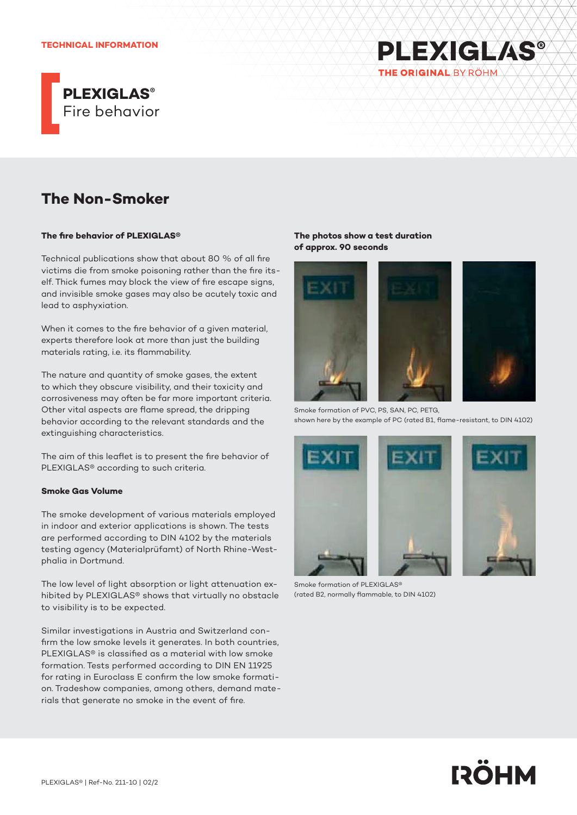

# **The Non-Smoker**

#### **The fire behavior of PLEXIGLAS®**

Technical publications show that about 80 % of all fire victims die from smoke poisoning rather than the fire itself. Thick fumes may block the view of fire escape signs, and invisible smoke gases may also be acutely toxic and lead to asphyxiation.

When it comes to the fire behavior of a given material, experts therefore look at more than just the building materials rating, i.e. its flammability.

The nature and quantity of smoke gases, the extent to which they obscure visibility, and their toxicity and corrosiveness may often be far more important criteria. Other vital aspects are flame spread, the dripping behavior according to the relevant standards and the extinguishing characteristics.

The aim of this leaflet is to present the fire behavior of PLEXIGLAS® according to such criteria.

## **Smoke Gas Volume**

The smoke development of various materials employed in indoor and exterior applications is shown. The tests are performed according to DIN 4102 by the materials testing agency (Materialprüfamt) of North Rhine-Westphalia in Dortmund.

The low level of light absorption or light attenuation exhibited by PLEXIGLAS® shows that virtually no obstacle to visibility is to be expected.

Similar investigations in Austria and Switzerland confirm the low smoke levels it generates. In both countries, PLEXIGLAS® is classified as a material with low smoke formation. Tests performed according to DIN EN 11925 for rating in Euroclass E confirm the low smoke formation. Tradeshow companies, among others, demand materials that generate no smoke in the event of fire.

## **The photos show a test duration of approx. 90 seconds**





**PLEXIGLAS®** 

THE ORIGINAL BY ROHM

Smoke formation of PVC, PS, SAN, PC, PETG, shown here by the example of PC (rated B1, flame-resistant, to DIN 4102)





Smoke formation of PLEXIGLAS® (rated B2, normally flammable, to DIN 4102)

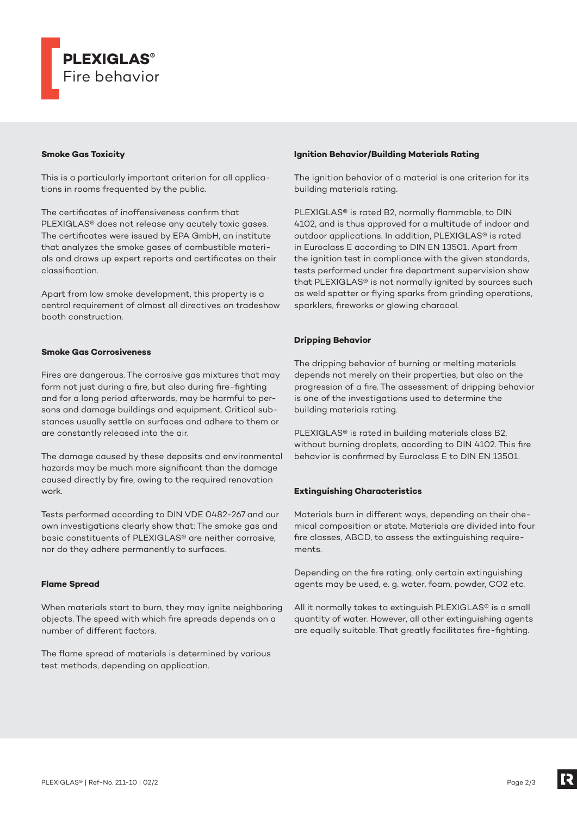

## **Smoke Gas Toxicity**

This is a particularly important criterion for all applications in rooms frequented by the public.

The certificates of inoffensiveness confirm that PLEXIGLAS® does not release any acutely toxic gases. The certificates were issued by EPA GmbH, an institute that analyzes the smoke gases of combustible materials and draws up expert reports and certificates on their classification.

Apart from low smoke development, this property is a central requirement of almost all directives on tradeshow booth construction.

## **Smoke Gas Corrosiveness**

Fires are dangerous. The corrosive gas mixtures that may form not just during a fire, but also during fire-fighting and for a long period afterwards, may be harmful to persons and damage buildings and equipment. Critical substances usually settle on surfaces and adhere to them or are constantly released into the air.

The damage caused by these deposits and environmental hazards may be much more significant than the damage caused directly by fire, owing to the required renovation work.

Tests performed according to DIN VDE 0482-267 and our own investigations clearly show that: The smoke gas and basic constituents of PLEXIGLAS® are neither corrosive, nor do they adhere permanently to surfaces.

#### **Flame Spread**

When materials start to burn, they may ignite neighboring objects. The speed with which fire spreads depends on a number of different factors.

The flame spread of materials is determined by various test methods, depending on application.

#### **Ignition Behavior/Building Materials Rating**

The ignition behavior of a material is one criterion for its building materials rating.

PLEXIGLAS® is rated B2, normally flammable, to DIN 4102, and is thus approved for a multitude of indoor and outdoor applications. In addition, PLEXIGLAS® is rated in Euroclass E according to DIN EN 13501. Apart from the ignition test in compliance with the given standards, tests performed under fire department supervision show that PLEXIGLAS® is not normally ignited by sources such as weld spatter or flying sparks from grinding operations, sparklers, fireworks or glowing charcoal.

# **Dripping Behavior**

The dripping behavior of burning or melting materials depends not merely on their properties, but also on the progression of a fire. The assessment of dripping behavior is one of the investigations used to determine the building materials rating.

PLEXIGLAS® is rated in building materials class B2, without burning droplets, according to DIN 4102. This fire behavior is confirmed by Euroclass E to DIN EN 13501.

## **Extinguishing Characteristics**

Materials burn in different ways, depending on their chemical composition or state. Materials are divided into four fire classes, ABCD, to assess the extinguishing requirements.

Depending on the fire rating, only certain extinguishing agents may be used, e. g. water, foam, powder, CO2 etc.

All it normally takes to extinguish PLEXIGLAS® is a small quantity of water. However, all other extinguishing agents are equally suitable. That greatly facilitates fire-fighting.